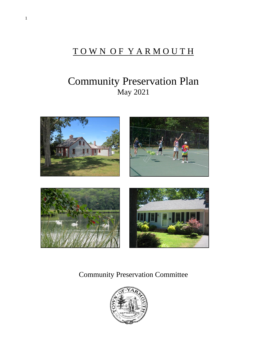# TOWN OF YARMOUTH

# Community Preservation Plan May 2021



Community Preservation Committee

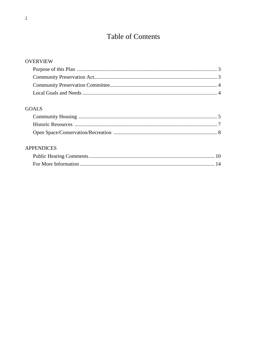# **Table of Contents**

# **OVERVIEW**

# **GOALS**

# **APPENDICES**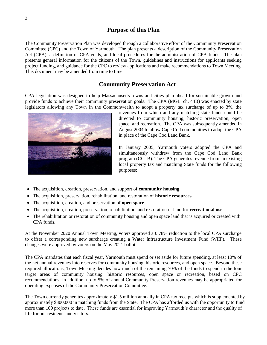# **Purpose of this Plan**

The Community Preservation Plan was developed through a collaborative effort of the Community Preservation Committee (CPC) and the Town of Yarmouth. The plan presents a description of the Community Preservation Act (CPA), a definition of CPA goals, and local procedures for the administration of CPA funds. The plan presents general information for the citizens of the Town, guidelines and instructions for applicants seeking project funding, and guidance for the CPC to review applications and make recommendations to Town Meeting. This document may be amended from time to time.

## **Community Preservation Act**

CPA legislation was designed to help Massachusetts towns and cities plan ahead for sustainable growth and provide funds to achieve their community preservation goals. The CPA (MGL. ch. 44B) was enacted by state legislators allowing any Town in the Commonwealth to adopt a property tax surcharge of up to 3%, the



revenues from which and any matching state funds could be directed to community housing, historic preservation, open space, and recreation. The CPA was subsequently amended in August 2004 to allow Cape Cod communities to adopt the CPA in place of the Cape Cod Land Bank.

In January 2005, Yarmouth voters adopted the CPA and simultaneously withdrew from the Cape Cod Land Bank program (CCLB). The CPA generates revenue from an existing local property tax and matching State funds for the following purposes:

- The acquisition, creation, preservation, and support of **community housing.**
- The acquisition, preservation, rehabilitation, and restoration of **historic resources**.
- The acquisition, creation, and preservation of **open space**.
- The acquisition, creation, preservation, rehabilitation, and restoration of land for **recreational use**.
- The rehabilitation or restoration of community housing and open space land that is acquired or created with CPA funds.

At the November 2020 Annual Town Meeting, voters approved a 0.78% reduction to the local CPA surcharge to offset a corresponding new surcharge creating a Water Infrastructure Investment Fund (WIIF). These changes were approved by voters on the May 2021 ballot.

The CPA mandates that each fiscal year, Yarmouth must spend or set aside for future spending, at least 10% of the net annual revenues into reserves for community housing, historic resources, and open space. Beyond these required allocations, Town Meeting decides how much of the remaining 70% of the funds to spend in the four target areas of community housing, historic resources, open space or recreation, based on CPC recommendations. In addition, up to 5% of annual Community Preservation revenues may be appropriated for operating expenses of the Community Preservation Committee.

The Town currently generates approximately \$1.5 million annually in CPA tax receipts which is supplemented by approximately \$300,000 in matching funds from the State. The CPA has afforded us with the opportunity to fund more than 100 projects to date. These funds are essential for improving Yarmouth's character and the quality of life for our residents and visitors.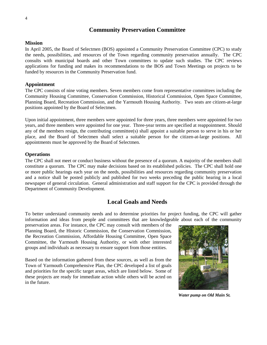# **Community Preservation Committee**

#### **Mission**

In April 2005, the Board of Selectmen (BOS) appointed a Community Preservation Committee (CPC) to study the needs, possibilities, and resources of the Town regarding community preservation annually. The CPC consults with municipal boards and other Town committees to update such studies. The CPC reviews applications for funding and makes its recommendations to the BOS and Town Meetings on projects to be funded by resources in the Community Preservation fund.

#### **Appointment**

The CPC consists of nine voting members. Seven members come from representative committees including the Community Housing Committee, Conservation Commission, Historical Commission, Open Space Committee, Planning Board, Recreation Commission, and the Yarmouth Housing Authority. Two seats are citizen-at-large positions appointed by the Board of Selectmen.

Upon initial appointment, three members were appointed for three years, three members were appointed for two years, and three members were appointed for one year. Three-year terms are specified at reappointment. Should any of the members resign, the contributing committee(s) shall appoint a suitable person to serve in his or her place, and the Board of Selectmen shall select a suitable person for the citizen-at-large positions. All appointments must be approved by the Board of Selectmen.

#### **Operations**

The CPC shall not meet or conduct business without the presence of a quorum. A majority of the members shall constitute a quorum. The CPC may make decisions based on its established policies. The CPC shall hold one or more public hearings each year on the needs, possibilities and resources regarding community preservation and a notice shall be posted publicly and published for two weeks preceding the public hearing in a local newspaper of general circulation. General administration and staff support for the CPC is provided through the Department of Community Development.

# **Local Goals and Needs**

To better understand community needs and to determine priorities for project funding, the CPC will gather information and ideas from people and committees that are knowledgeable about each of the community

preservation areas. For instance, the CPC may consult with members of the Planning Board, the Historic Commission, the Conservation Commission, the Recreation Commission, Affordable Housing Committee, Open Space Committee, the Yarmouth Housing Authority, or with other interested groups and individuals as necessary to ensure support from those entities.

Based on the information gathered from these sources, as well as from the Town of Yarmouth Comprehensive Plan, the CPC developed a list of goals and priorities for the specific target areas, which are listed below. Some of these projects are ready for immediate action while others will be acted on in the future.



*Water pump on Old Main St.*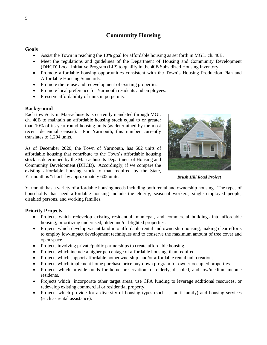# **Community Housing**

#### **Goals**

- Assist the Town in reaching the 10% goal for affordable housing as set forth in MGL. ch. 40B.
- Meet the regulations and guidelines of the Department of Housing and Community Development (DHCD) Local Initiative Program (LIP) to qualify in the 40B Subsidized Housing Inventory.
- Promote affordable housing opportunities consistent with the Town's Housing Production Plan and Affordable Housing Standards.
- Promote the re-use and redevelopment of existing properties.
- Promote local preference for Yarmouth residents and employees.
- Preserve affordability of units in perpetuity.

#### **Background**

Each town/city in Massachusetts is currently mandated through MGL ch. 40B to maintain an affordable housing stock equal to or greater than 10% of its year-round housing units (as determined by the most recent decennial census). For Yarmouth, this number currently translates to 1,204 units.

As of December 2020, the Town of Yarmouth, has 602 units of affordable housing that contribute to the Town's affordable housing stock as determined by the Massachusetts Department of Housing and Community Development (DHCD). Accordingly, if we compare the existing affordable housing stock to that required by the State, Yarmouth is "short" by approximately 602 units.



*Brush Hill Road Project*

Yarmouth has a variety of affordable housing needs including both rental and ownership housing. The types of households that need affordable housing include the elderly, seasonal workers, single employed people, disabled persons, and working families.

#### **Priority Projects**

- Projects which redevelop existing residential, municpal, and commercial buildings into affordable housing, prioritizing underused, older and/or blighted properties.
- Projects which develop vacant land into affordable rental and ownership housing, making clear efforts to employ low-impact development techniques and to conserve the maximum amount of tree cover and open space.
- Projects involving private/public partnerships to create affordable housing.
- Projects which include a higher percentage of affordable housing than required.
- Projects which support affordable homeownership and/or affordable rental unit creation.
- Projects which implement home purchase price buy-down program for owner-occupied properties.
- Projects which provide funds for home preservation for elderly, disabled, and low/medium income residents.
- Projects which incorporate other target areas, use CPA funding to leverage additional resources, or redevelop existing commercial or residential property.
- Projects which provide for a diversity of housing types (such as multi-family) and housing services (such as rental assistance).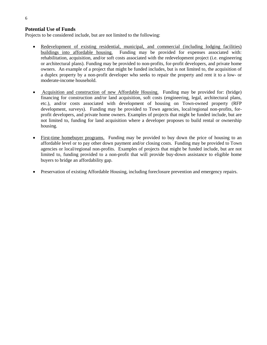#### **Potential Use of Funds**

Projects to be considered include, but are not limited to the following:

- Redevelopment of existing residential, municipal, and commercial (including lodging facilities) buildings into affordable housing. Funding may be provided for expenses associated with: rehabilitation, acquisition, and/or soft costs associated with the redevelopment project (i.e. engineering or architectural plans). Funding may be provided to non-profits, for-profit developers, and private home owners. An example of a project that might be funded includes, but is not limited to, the acquisition of a duplex property by a non-profit developer who seeks to repair the property and rent it to a low- or moderate-income household.
- Acquisition and construction of new Affordable Housing. Funding may be provided for: (bridge) financing for construction and/or land acquisition, soft costs (engineering, legal, architectural plans, etc.), and/or costs associated with development of housing on Town-owned property (RFP development, surveys). Funding may be provided to Town agencies, local/regional non-profits, forprofit developers, and private home owners. Examples of projects that might be funded include, but are not limited to, funding for land acquisition where a developer proposes to build rental or ownership housing.
- First-time homebuyer programs. Funding may be provided to buy down the price of housing to an affordable level or to pay other down payment and/or closing costs. Funding may be provided to Town agencies or local/regional non-profits. Examples of projects that might be funded include, but are not limited to, funding provided to a non-profit that will provide buy-down assistance to eligible home buyers to bridge an affordability gap.
- Preservation of existing Affordable Housing, including foreclosure prevention and emergency repairs.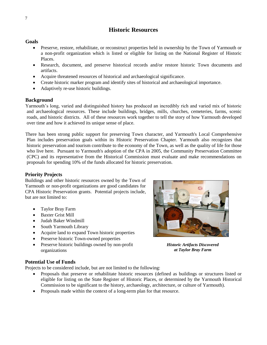# **Historic Resources**

#### **Goals**

- Preserve, restore, rehabilitate, or reconstruct properties held in ownership by the Town of Yarmouth or a non-profit organization which is listed or eligible for listing on the National Register of Historic Places.
- Research, document, and preserve historical records and/or restore historic Town documents and artifacts.
- Acquire threatened resources of historical and archaeological significance.
- Create historic marker program and identify sites of historical and archaeological importance.
- Adaptively re-use historic buildings.

#### **Background**

Yarmouth's long, varied and distinguished history has produced an incredibly rich and varied mix of historic and archaeological resources. These include buildings, bridges, mills, churches, cemeteries, farms, scenic roads, and historic districts. All of these resources work together to tell the story of how Yarmouth developed over time and how it achieved its unique sense of place.

There has been strong public support for preserving Town character, and Yarmouth's Local Comprehensive Plan includes preservation goals within its Historic Preservation Chapter. Yarmouth also recognizes that historic preservation and tourism contribute to the economy of the Town, as well as the quality of life for those who live here. Pursuant to Yarmouth's adoption of the CPA in 2005, the Community Preservation Committee (CPC) and its representative from the Historical Commission must evaluate and make recommendations on proposals for spending 10% of the funds allocated for historic preservation.

#### **Priority Projects**

Buildings and other historic resources owned by the Town of Yarmouth or non-profit organizations are good candidates for CPA Historic Preservation grants. Potential projects include, but are not limited to:

- Taylor Bray Farm
- Baxter Grist Mill
- Judah Baker Windmill
- South Yarmouth Library
- Acquire land to expand Town historic properties
- Preserve historic Town-owned properties
- Preserve historic buildings owned by non-profit organizations

#### **Potential Use of Funds**

Projects to be considered include, but are not limited to the following:

- Proposals that preserve or rehabilitate historic resources (defined as buildings or structures listed or eligible for listing on the State Register of Historic Places, or determined by the Yarmouth Historical Commission to be significant to the history, archaeology, architecture, or culture of Yarmouth).
- Proposals made within the context of a long-term plan for that resource.



*Historic Artifacts Discovered at Taylor Bray Farm*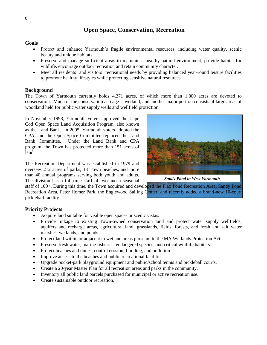# **Open Space, Conservation, Recreation**

#### **Goals**

- Protect and enhance Yarmouth's fragile environmental resources, including water quality, scenic beauty and unique habitats.
- Preserve and manage sufficient areas to maintain a healthy natural environment, provide habitat for wildlife, encourage outdoor recreation and retain community character.
- Meet all residents' and visitors' recreational needs by providing balanced year-round leisure facilities to promote healthy lifestyles while protecting sensitive natural resources.

#### **Background**

The Town of Yarmouth currently holds 4,271 acres, of which more than 1,800 acres are devoted to conservation. Much of the conservation acreage is wetland, and another major portion consists of large areas of woodland held for public water supply wells and wellfield protection.

In November 1998, Yarmouth voters approved the Cape Cod Open Space Land Acquisition Program, also known as the Land Bank. In 2005, Yarmouth voters adopted the CPA, and the Open Space Committee replaced the Land Bank Committee. Under the Land Bank and CPA program, the Town has protected more than 151 acres of land.

The Recreation Department was established in 1979 and oversees 212 acres of parks, 13 Town beaches, and more than 40 annual programs serving both youth and adults. The division has a full-time staff of two and a seasonal

*Sandy Pond in West Yarmouth*

staff of 100+. During this time, the Town acquired and developed the Flax Pond Recreation Area, Sandy Pond Recreation Area, Peter Homer Park, the Englewood Sailing Center, and recently added a brand-new 10-court pickleball facility.

#### **Priority Projects**

- Acquire land suitable for visible open spaces or scenic vistas.
- Provide linkage to existing Town-owned conservation land and protect water supply wellfields, aquifers and recharge areas, agricultural land, grasslands, fields, forests, and fresh and salt water marshes, wetlands, and ponds.
- Protect land within or adjacent to wetland areas pursuant to the MA Wetlands Protection Act.
- Preserve fresh water, marine fisheries, endangered species, and critical wildlife habitats.
- Protect beaches and dunes; control erosion, flooding, and pollution.
- Improve access to the beaches and public recreational facilities.
- Upgrade pocket-park playground equipment and public/school tennis and pickleball courts.
- Create a 20-year Master Plan for all recreation areas and parks in the community.
- Inventory all public land parcels purchased for municipal or active recreation use.
- Create sustainable outdoor recreation.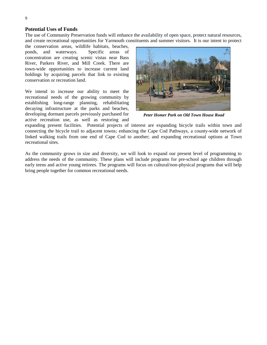#### **Potential Uses of Funds**

The use of Community Preservation funds will enhance the availability of open space, protect natural resources, and create recreational opportunities for Yarmouth constituents and summer visitors. It is our intent to protect

the conservation areas, wildlife habitats, beaches, ponds, and waterways. Specific areas of concentration are creating scenic vistas near Bass River, Parkers River, and Mill Creek. There are town-wide opportunities to increase current land holdings by acquiring parcels that link to existing conservation or recreation land.

We intend to increase our ability to meet the recreational needs of the growing community by establishing long-range planning, rehabilitating decaying infrastructure at the parks and beaches, developing dormant parcels previously purchased for active recreation use, as well as restoring and



*Peter Homer Park on Old Town House Road* 

expanding present facilities. Potential projects of interest are expanding bicycle trails within town and connecting the bicycle trail to adjacent towns; enhancing the Cape Cod Pathways, a county-wide network of linked walking trails from one end of Cape Cod to another; and expanding recreational options at Town recreational sites.

As the community grows in size and diversity, we will look to expand our present level of programming to address the needs of the community. These plans will include programs for pre-school age children through early teens and active young retirees. The programs will focus on cultural/non-physical programs that will help bring people together for common recreational needs.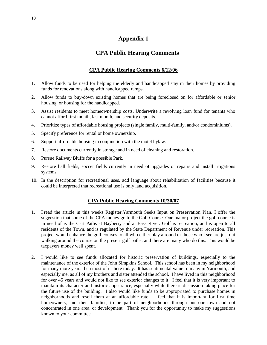# **Appendix 1**

# **CPA Public Hearing Comments**

### **CPA Public Hearing Comments 6/12/06**

- 1. Allow funds to be used for helping the elderly and handicapped stay in their homes by providing funds for renovations along with handicapped ramps.
- 2. Allow funds to buy-down existing homes that are being foreclosed on for affordable or senior housing, or housing for the handicapped.
- 3. Assist residents to meet homeownership costs. Underwrite a revolving loan fund for tenants who cannot afford first month, last month, and security deposits.
- 4. Prioritize types of affordable housing projects (single family, multi-family, and/or condominiums).
- 5. Specify preference for rental or home ownership.
- 6. Support affordable housing in conjunction with the motel bylaw.
- 7. Restore documents currently in storage and in need of cleaning and restoration.
- 8. Pursue Railway Bluffs for a possible Park.
- 9. Restore ball fields, soccer fields currently in need of upgrades or repairs and install irrigations systems.
- 10. In the description for recreational uses, add language about rehabilitation of facilities because it could be interpreted that recreational use is only land acquisition.

#### **CPA Public Hearing Comments 10/30/07**

- 1. I read the article in this weeks Register,Yarmouth Seeks Input on Preservation Plan. I offer the suggestion that some of the CPA money go to the Golf Course. One major project the golf course is in need of is the Cart Paths at Bayberry and at Bass River. Golf is recreation, and is open to all residents of the Town, and is regulated by the State Department of Revenue under recreation. This project would enhance the golf courses to all who either play a round or those who I see are just out walking around the course on the present golf paths, and there are many who do this. This would be taxpayers money well spent.
- 2. I would like to see funds allocated for historic preservation of buildings, especially to the maintenance of the exterior of the John Simpkins School. This school has been in my neighborhood for many more years then most of us here today. It has sentimental value to many in Yarmouth, and especially me, as all of my brothers and sister attended the school. I have lived in this neighborhood for over 45 years and would not like to see exterior changes to it. I feel that it is very important to maintain its character and historic appearance, especially while there is discussion taking place for the future use of the building. I also would like funds to be appropriated to purchase homes in neighborhoods and resell them at an affordable rate. I feel that it is important for first time homeowners, and their families, to be part of neighborhoods through out our town and not concentrated in one area, or development. Thank you for the opportunity to make my suggestions known to your committee.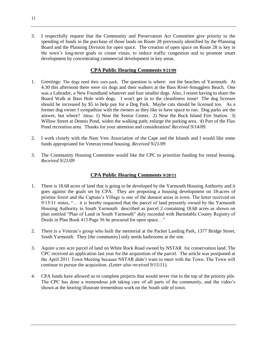3. I respectfully request that the Community and Preservation Act Committee give priority to the spending of funds in the purchase of those lands on Route 28 previously identified by the Planning Board and the Planning Division for open space. The creation of open space on Route 28 is key in the town's long-term goals to create vistas, to reduce traffic congestion and to promote smart development by concentrating commercial development in key areas.

### **CPA Public Hearing Comments 9/21/09**

- 1. Greetings: The dogs need their own park. The question is where: not the beaches of Yarmouth. At 4:30 this afternoon there were six dogs and their walkers at the Bass River-Smugglers Beach. One was a Labrador, a New Foundland whatever and four smaller dogs. Also, I resent having to share the Board Walk at Bass Hole with dogs. I won't get in to the cleanliness issue! The dog licenses should be increased by \$5 to help pay for a Dog Park. Maybe cats should be licensed too. As a former dog owner I sympathize with the owners as they like to have space to run. Dog parks are the answer, but where? Ideas: 1) Near the Senior Center. 2) Near the Buck Island Fire Station. 3) Willow Street at Dennis Pond, widen the walking path; enlarge the parking area. 4) Part of the Flax Pond recreation area. Thanks for your attention and consideration! *Received 9/14/09.*
- 2. I work closely with the Nam Vets Association of the Cape and the Islands and I would like some funds appropriated for Veteran rental housing. *Received 9/21/09*
- 3. The Community Housing Committee would like the CPC to prioritize funding for rental housing. *Received 9/21/09*

## **CPA Public Hearing Comments 9/28/11**

- 1. There is 18.68 acres of land that is going to be developed by the Yarmouth Housing Authority and it goes against the goals set by CPA. They are proposing a housing development on 18-acres of pristine forest and the Captain's Village is one of the densest areas in town. The letter received on 9/15/11 states, "… it is hereby requested that the parcel of land presently owned by the Yarmouth Housing Authority in South Yarmouth described as parcel 2 containing 18.68 acres as shown on plan entitled "Plan of Land in South Yarmouth" duly recorded with Barnstable County Registry of Deeds in Plan Book 413 Page 56 be procured for open space…"
- 2. There is a Veteran's group who built the memorial at the Packet Landing Park, 1377 Bridge Street, South Yarmouth. They [the community] only needs bathrooms at the site.
- 3. Aquire a ten acre parcel of land on White Rock Road owned by NSTAR for conservation land. The CPC received an application last year for the acquisition of the parcel. The article was postponed at the April 2011 Town Meeting because NSTAR didn't want to meet with the Town. The Town will continue to pursue the acquisition. *(Letter also received 9/15/11).*
- 4. CPA funds have allowed us to complete projects that would never rise to the top of the priority pile. The CPC has done a tremendous job taking care of all parts of the community, and the video's shown at the hearing illustrate tremendous work on the South side of town.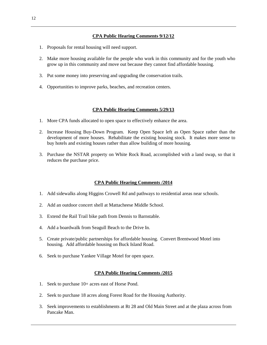#### **CPA Public Hearing Comments 9/12/12**

- 1. Proposals for rental housing will need support.
- 2. Make more housing available for the people who work in this community and for the youth who grow up in this community and move out because they cannot find affordable housing.
- 3. Put some money into preserving and upgrading the conservation trails.
- 4. Opportunities to improve parks, beaches, and recreation centers.

#### **CPA Public Hearing Comments 5/29/13**

- 1. More CPA funds allocated to open space to effectively enhance the area.
- 2. Increase Housing Buy-Down Program. Keep Open Space left as Open Space rather than the development of more houses. Rehabilitate the existing housing stock. It makes more sense to buy hotels and existing houses rather than allow building of more housing.
- 3. Purchase the NSTAR property on White Rock Road, accomplished with a land swap, so that it reduces the purchase price.

#### **CPA Public Hearing Comments /2014**

- 1. Add sidewalks along Higgins Crowell Rd and pathways to residential areas near schools.
- 2. Add an outdoor concert shell at Mattacheese Middle School.
- 3. Extend the Rail Trail bike path from Dennis to Barnstable.
- 4. Add a boardwalk from Seagull Beach to the Drive In.
- 5. Create private/public partnerships for affordable housing. Convert Brentwood Motel into housing. Add affordable housing on Buck Island Road.
- 6. Seek to purchase Yankee Village Motel for open space.

#### **CPA Public Hearing Comments /2015**

- 1. Seek to purchase 10+ acres east of Horse Pond.
- 2. Seek to purchase 18 acres along Forest Road for the Housing Authority.
- 3. Seek improvements to establishments at Rt 28 and Old Main Street and at the plaza across from Pancake Man.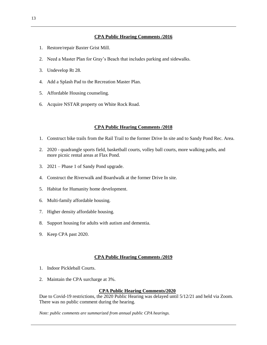#### **CPA Public Hearing Comments /2016**

- 1. Restore/repair Baxter Grist Mill.
- 2. Need a Master Plan for Gray's Beach that includes parking and sidewalks.
- 3. Undevelop Rt 28.
- 4. Add a Splash Pad to the Recreation Master Plan.
- 5. Affordable Housing counseling.
- 6. Acquire NSTAR property on White Rock Road.

#### **CPA Public Hearing Comments /2018**

- 1. Construct bike trails from the Rail Trail to the former Drive In site and to Sandy Pond Rec. Area.
- 2. 2020 quadrangle sports field, basketball courts, volley ball courts, more walking paths, and more picnic rental areas at Flax Pond.
- 3. 2021 Phase 1 of Sandy Pond upgrade.
- 4. Construct the Riverwalk and Boardwalk at the former Drive In site.
- 5. Habitat for Humanity home development.
- 6. Multi-family affordable housing.
- 7. Higher density affordable housing.
- 8. Support housing for adults with autism and dementia.
- 9. Keep CPA past 2020.

#### **CPA Public Hearing Comments /2019**

- 1. Indoor Pickleball Courts.
- 2. Maintain the CPA surcharge at 3%.

#### **CPA Public Hearing Comments/2020**

Due to Covid-19 restrictions, the 2020 Public Hearing was delayed until 5/12/21 and held via Zoom. There was no public comment during the hearing.

*Note: public comments are summarized from annual public CPA hearings.*